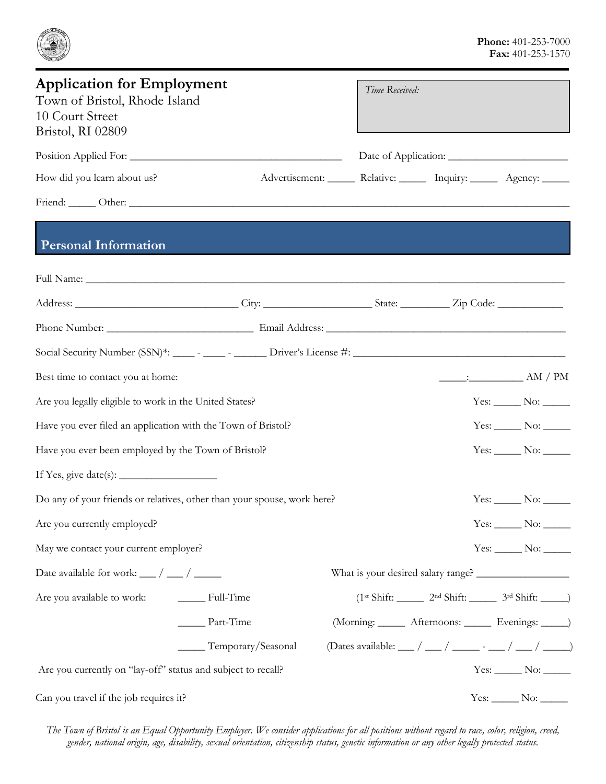

| <b>Application for Employment</b><br>Town of Bristol, Rhode Island<br>10 Court Street<br>Bristol, RI 02809 |                                                                                                                                                                                                                               | Time Received:                                                          |                                                            |                                                                                                                                                                                                                                                                                                                                                   |
|------------------------------------------------------------------------------------------------------------|-------------------------------------------------------------------------------------------------------------------------------------------------------------------------------------------------------------------------------|-------------------------------------------------------------------------|------------------------------------------------------------|---------------------------------------------------------------------------------------------------------------------------------------------------------------------------------------------------------------------------------------------------------------------------------------------------------------------------------------------------|
|                                                                                                            |                                                                                                                                                                                                                               |                                                                         |                                                            |                                                                                                                                                                                                                                                                                                                                                   |
| How did you learn about us?                                                                                |                                                                                                                                                                                                                               | Advertisement: _______ Relative: _______ Inquiry: ______ Agency: ______ |                                                            |                                                                                                                                                                                                                                                                                                                                                   |
|                                                                                                            | Friend: Other: Other: COMERCIAL COMERCIAL COMERCIAL COMERCIAL COMERCIAL COMERCIAL COMERCIAL COMERCIAL COMERCIAL COMERCIAL COMERCIAL COMERCIAL COMERCIAL COMERCIAL COMERCIAL COMERCIAL COMERCIAL COMERCIAL COMERCIAL COMERCIAL |                                                                         |                                                            |                                                                                                                                                                                                                                                                                                                                                   |
| <b>Personal Information</b>                                                                                |                                                                                                                                                                                                                               |                                                                         |                                                            |                                                                                                                                                                                                                                                                                                                                                   |
|                                                                                                            |                                                                                                                                                                                                                               |                                                                         |                                                            |                                                                                                                                                                                                                                                                                                                                                   |
|                                                                                                            |                                                                                                                                                                                                                               |                                                                         |                                                            |                                                                                                                                                                                                                                                                                                                                                   |
|                                                                                                            |                                                                                                                                                                                                                               |                                                                         |                                                            |                                                                                                                                                                                                                                                                                                                                                   |
|                                                                                                            |                                                                                                                                                                                                                               |                                                                         |                                                            |                                                                                                                                                                                                                                                                                                                                                   |
| Best time to contact you at home:                                                                          |                                                                                                                                                                                                                               |                                                                         |                                                            | $\frac{1}{\sqrt{2\pi}}$ = $\frac{1}{\sqrt{2\pi}}$ = $\frac{1}{\sqrt{2\pi}}$ = $\frac{1}{\sqrt{2\pi}}$ = $\frac{1}{\sqrt{2\pi}}$ = $\frac{1}{\sqrt{2\pi}}$ = $\frac{1}{\sqrt{2\pi}}$ = $\frac{1}{\sqrt{2\pi}}$ = $\frac{1}{\sqrt{2\pi}}$ = $\frac{1}{\sqrt{2\pi}}$ = $\frac{1}{\sqrt{2\pi}}$ = $\frac{1}{\sqrt{2\pi}}$ = $\frac{1}{\sqrt{2\pi}}$ = |
| Are you legally eligible to work in the United States?                                                     |                                                                                                                                                                                                                               |                                                                         |                                                            | $Yes: \_\_\_\$ No: $\_\_\_\$                                                                                                                                                                                                                                                                                                                      |
| Have you ever filed an application with the Town of Bristol?                                               |                                                                                                                                                                                                                               |                                                                         |                                                            | $Yes: \_\_\_\$ No: $\_\_\_\_\$                                                                                                                                                                                                                                                                                                                    |
| Have you ever been employed by the Town of Bristol?                                                        |                                                                                                                                                                                                                               |                                                                         |                                                            | $Yes: \_\_\_\$ No: $\_\_\_\_\$                                                                                                                                                                                                                                                                                                                    |
| If Yes, give date(s): $\_\_\_\_\_\_\_\_\_\_\_\_\_\_\_\_\_\_\_\_\_\_\_\_\_\_\_\_$                           |                                                                                                                                                                                                                               |                                                                         |                                                            |                                                                                                                                                                                                                                                                                                                                                   |
|                                                                                                            | Do any of your friends or relatives, other than your spouse, work here?                                                                                                                                                       |                                                                         |                                                            | $Yes: \_\_\_\$ No: $\_\_\_\_\$                                                                                                                                                                                                                                                                                                                    |
| Are you currently employed?                                                                                |                                                                                                                                                                                                                               |                                                                         |                                                            | $Yes: \_\_\_No: \_\_\_\_$                                                                                                                                                                                                                                                                                                                         |
| May we contact your current employer?                                                                      |                                                                                                                                                                                                                               |                                                                         |                                                            | $Yes:$ No: $\_\_$                                                                                                                                                                                                                                                                                                                                 |
| Date available for work: $\frac{1}{\sqrt{2}}$ / $\frac{1}{\sqrt{2}}$                                       |                                                                                                                                                                                                                               |                                                                         |                                                            |                                                                                                                                                                                                                                                                                                                                                   |
| Are you available to work:                                                                                 | $\frac{1}{\sqrt{1-\frac{1}{2}}\pi}$ Full-Time                                                                                                                                                                                 |                                                                         | $(1st Shift: ______ 2nd Shift: ______ 3rd Shift: ______ )$ |                                                                                                                                                                                                                                                                                                                                                   |
|                                                                                                            | Part-Time                                                                                                                                                                                                                     |                                                                         | (Morning: ______ Afternoons: ______ Evenings: _____)       |                                                                                                                                                                                                                                                                                                                                                   |
|                                                                                                            | Temporary/Seasonal                                                                                                                                                                                                            |                                                                         | (Dates available: __/ __/ ___/ ____ - __/ ___/ ____/       |                                                                                                                                                                                                                                                                                                                                                   |
| Are you currently on "lay-off" status and subject to recall?                                               |                                                                                                                                                                                                                               |                                                                         |                                                            | $Yes: \_\_\_\$ No: $\_\_\_\_\$                                                                                                                                                                                                                                                                                                                    |
| Can you travel if the job requires it?                                                                     |                                                                                                                                                                                                                               |                                                                         |                                                            | $Yes: \_\_No: \_\_$                                                                                                                                                                                                                                                                                                                               |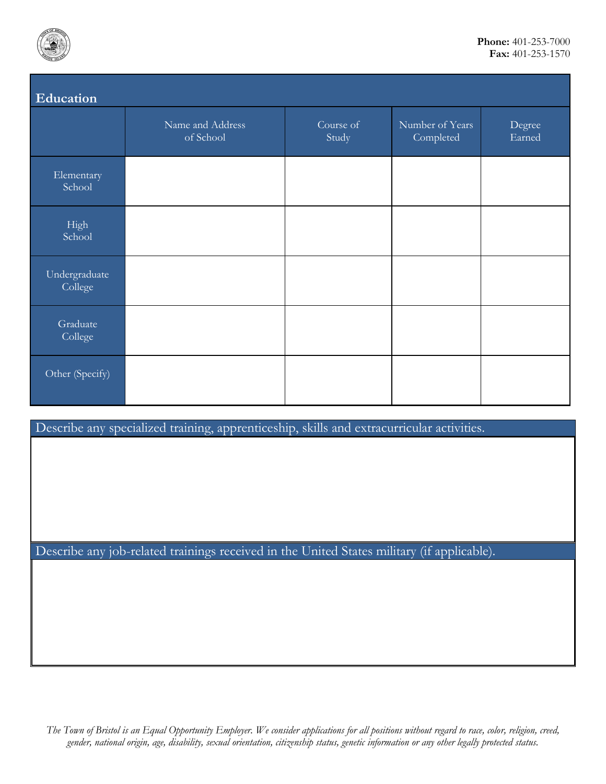

| Education                |                               |                    |                              |                  |  |  |
|--------------------------|-------------------------------|--------------------|------------------------------|------------------|--|--|
|                          | Name and Address<br>of School | Course of<br>Study | Number of Years<br>Completed | Degree<br>Earned |  |  |
| Elementary<br>School     |                               |                    |                              |                  |  |  |
| High<br>School           |                               |                    |                              |                  |  |  |
| Undergraduate<br>College |                               |                    |                              |                  |  |  |
| Graduate<br>College      |                               |                    |                              |                  |  |  |
| Other (Specify)          |                               |                    |                              |                  |  |  |

Describe any specialized training, apprenticeship, skills and extracurricular activities.

Describe any job-related trainings received in the United States military (if applicable).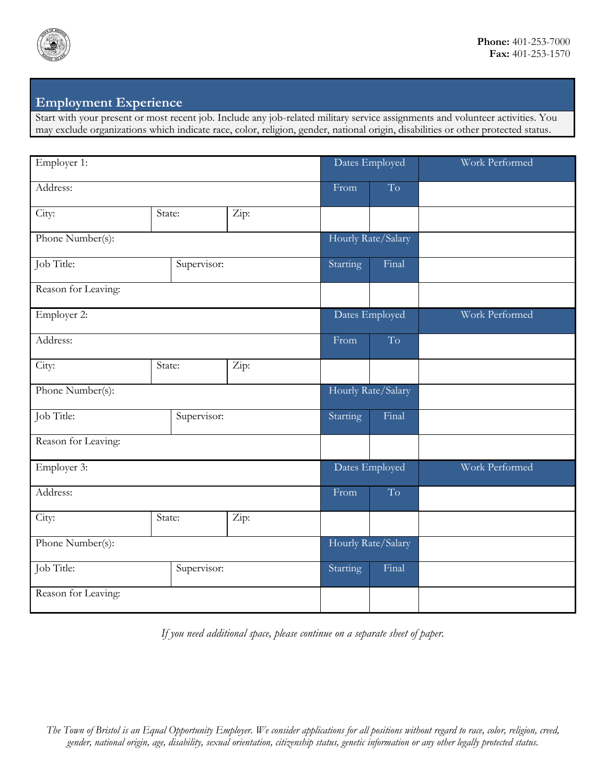

## **Employment Experience**

Start with your present or most recent job. Include any job-related military service assignments and volunteer activities. You may exclude organizations which indicate race, color, religion, gender, national origin, disabilities or other protected status.

| Employer 1:         |             | Dates Employed     |                | Work Performed     |                |
|---------------------|-------------|--------------------|----------------|--------------------|----------------|
| Address:            |             | From               | T <sub>o</sub> |                    |                |
| City:               | State:      | Zip:               |                |                    |                |
| Phone Number(s):    |             |                    |                | Hourly Rate/Salary |                |
| Job Title:          | Supervisor: |                    | Starting       | Final              |                |
| Reason for Leaving: |             |                    |                |                    |                |
| Employer 2:         |             |                    | Dates Employed |                    | Work Performed |
| Address:            |             |                    | From           | To                 |                |
| City:               | State:      | Zip:               |                |                    |                |
| Phone Number(s):    |             | Hourly Rate/Salary |                |                    |                |
| Job Title:          | Supervisor: |                    | Starting       | Final              |                |
| Reason for Leaving: |             |                    |                |                    |                |
| Employer 3:         |             | Dates Employed     |                | Work Performed     |                |
| Address:            |             |                    | From           | T <sub>o</sub>     |                |
| City:               | State:      | Zip:               |                |                    |                |
| Phone Number(s):    |             | Hourly Rate/Salary |                |                    |                |
| Job Title:          | Supervisor: |                    | Starting       | Final              |                |
| Reason for Leaving: |             |                    |                |                    |                |

*If you need additional space, please continue on a separate sheet of paper.*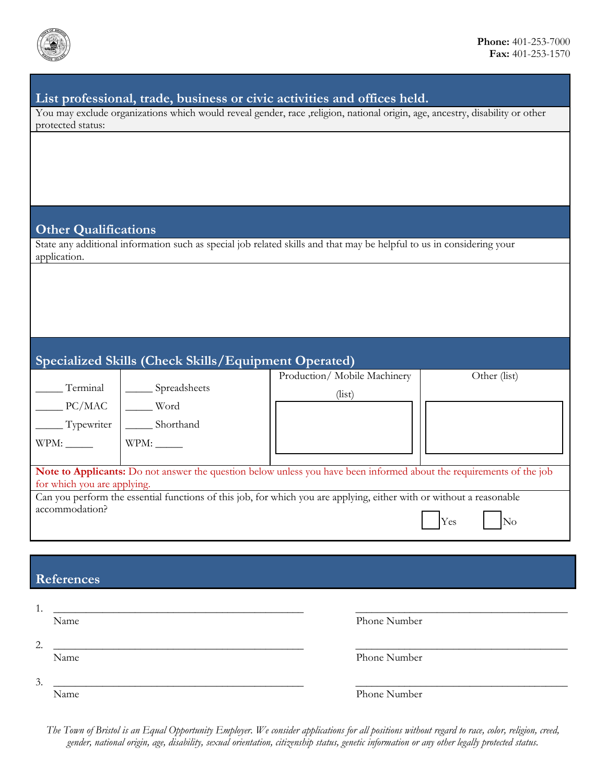

### **List professional, trade, business or civic activities and offices held.**

You may exclude organizations which would reveal gender, race ,religion, national origin, age, ancestry, disability or other protected status:

#### **Other Qualifications**

State any additional information such as special job related skills and that may be helpful to us in considering your application.

# **Specialized Skills (Check Skills/Equipment Operated)**

|                                                                                                                      |              | Production/Mobile Machinery | Other (list) |  |  |
|----------------------------------------------------------------------------------------------------------------------|--------------|-----------------------------|--------------|--|--|
| Terminal                                                                                                             | Spreadsheets | (iist)                      |              |  |  |
| PC/MAC                                                                                                               | Word         |                             |              |  |  |
| Typewriter                                                                                                           | Shorthand    |                             |              |  |  |
| WPM:                                                                                                                 | WPM:         |                             |              |  |  |
|                                                                                                                      |              |                             |              |  |  |
| Note to Applicants: Do not answer the question below unless you have been informed about the requirements of the job |              |                             |              |  |  |
| for which you are applying.                                                                                          |              |                             |              |  |  |
| Can you perform the essential functions of this job, for which you are applying, either with or without a reasonable |              |                             |              |  |  |
| accommodation?                                                                                                       |              |                             |              |  |  |
|                                                                                                                      |              |                             | Yes<br>No    |  |  |

## **References**

| . .                 |              |
|---------------------|--------------|
| Name                | Phone Number |
| $\mathcal{D}$<br>∠. |              |
| Name                | Phone Number |
| 3.                  |              |
| Name                | Phone Number |